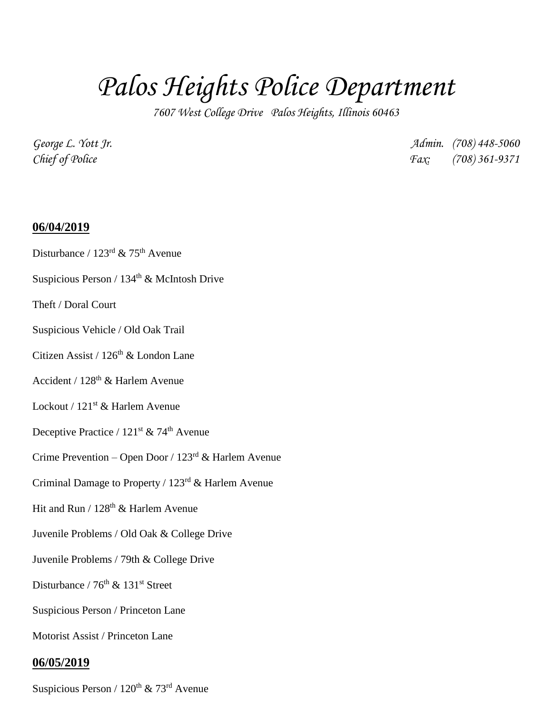## *Palos Heights Police Department*

*7607 West College Drive Palos Heights, Illinois 60463*

*George L. Yott Jr. Admin. (708) 448-5060 Chief of Police Fax: (708) 361-9371*

## **06/04/2019**

- Disturbance /  $123^{\text{rd}}$  &  $75^{\text{th}}$  Avenue
- Suspicious Person /  $134^{\rm th}$  & McIntosh Drive
- Theft / Doral Court
- Suspicious Vehicle / Old Oak Trail
- Citizen Assist / 126<sup>th</sup> & London Lane
- Accident / 128th & Harlem Avenue
- Lockout / 121<sup>st</sup> & Harlem Avenue
- Deceptive Practice /  $121<sup>st</sup>$  & 74<sup>th</sup> Avenue
- Crime Prevention Open Door / 123<sup>rd</sup> & Harlem Avenue
- Criminal Damage to Property / 123rd & Harlem Avenue
- Hit and Run /  $128<sup>th</sup>$  & Harlem Avenue
- Juvenile Problems / Old Oak & College Drive
- Juvenile Problems / 79th & College Drive
- Disturbance /  $76<sup>th</sup>$  &  $131<sup>st</sup>$  Street
- Suspicious Person / Princeton Lane
- Motorist Assist / Princeton Lane

## **06/05/2019**

Suspicious Person /  $120^{th}$  &  $73^{rd}$  Avenue